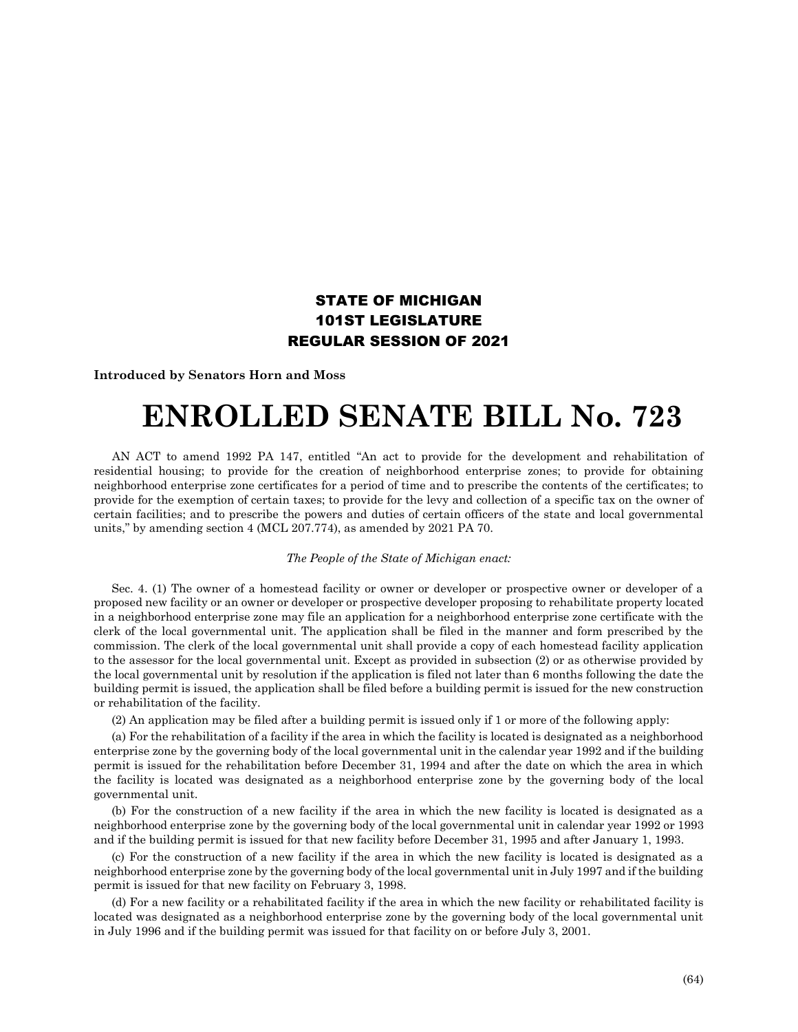## STATE OF MICHIGAN 101ST LEGISLATURE REGULAR SESSION OF 2021

**Introduced by Senators Horn and Moss**

## **ENROLLED SENATE BILL No. 723**

AN ACT to amend 1992 PA 147, entitled "An act to provide for the development and rehabilitation of residential housing; to provide for the creation of neighborhood enterprise zones; to provide for obtaining neighborhood enterprise zone certificates for a period of time and to prescribe the contents of the certificates; to provide for the exemption of certain taxes; to provide for the levy and collection of a specific tax on the owner of certain facilities; and to prescribe the powers and duties of certain officers of the state and local governmental units," by amending section 4 (MCL 207.774), as amended by 2021 PA 70.

## *The People of the State of Michigan enact:*

Sec. 4. (1) The owner of a homestead facility or owner or developer or prospective owner or developer of a proposed new facility or an owner or developer or prospective developer proposing to rehabilitate property located in a neighborhood enterprise zone may file an application for a neighborhood enterprise zone certificate with the clerk of the local governmental unit. The application shall be filed in the manner and form prescribed by the commission. The clerk of the local governmental unit shall provide a copy of each homestead facility application to the assessor for the local governmental unit. Except as provided in subsection (2) or as otherwise provided by the local governmental unit by resolution if the application is filed not later than 6 months following the date the building permit is issued, the application shall be filed before a building permit is issued for the new construction or rehabilitation of the facility.

(2) An application may be filed after a building permit is issued only if 1 or more of the following apply:

(a) For the rehabilitation of a facility if the area in which the facility is located is designated as a neighborhood enterprise zone by the governing body of the local governmental unit in the calendar year 1992 and if the building permit is issued for the rehabilitation before December 31, 1994 and after the date on which the area in which the facility is located was designated as a neighborhood enterprise zone by the governing body of the local governmental unit.

(b) For the construction of a new facility if the area in which the new facility is located is designated as a neighborhood enterprise zone by the governing body of the local governmental unit in calendar year 1992 or 1993 and if the building permit is issued for that new facility before December 31, 1995 and after January 1, 1993.

(c) For the construction of a new facility if the area in which the new facility is located is designated as a neighborhood enterprise zone by the governing body of the local governmental unit in July 1997 and if the building permit is issued for that new facility on February 3, 1998.

(d) For a new facility or a rehabilitated facility if the area in which the new facility or rehabilitated facility is located was designated as a neighborhood enterprise zone by the governing body of the local governmental unit in July 1996 and if the building permit was issued for that facility on or before July 3, 2001.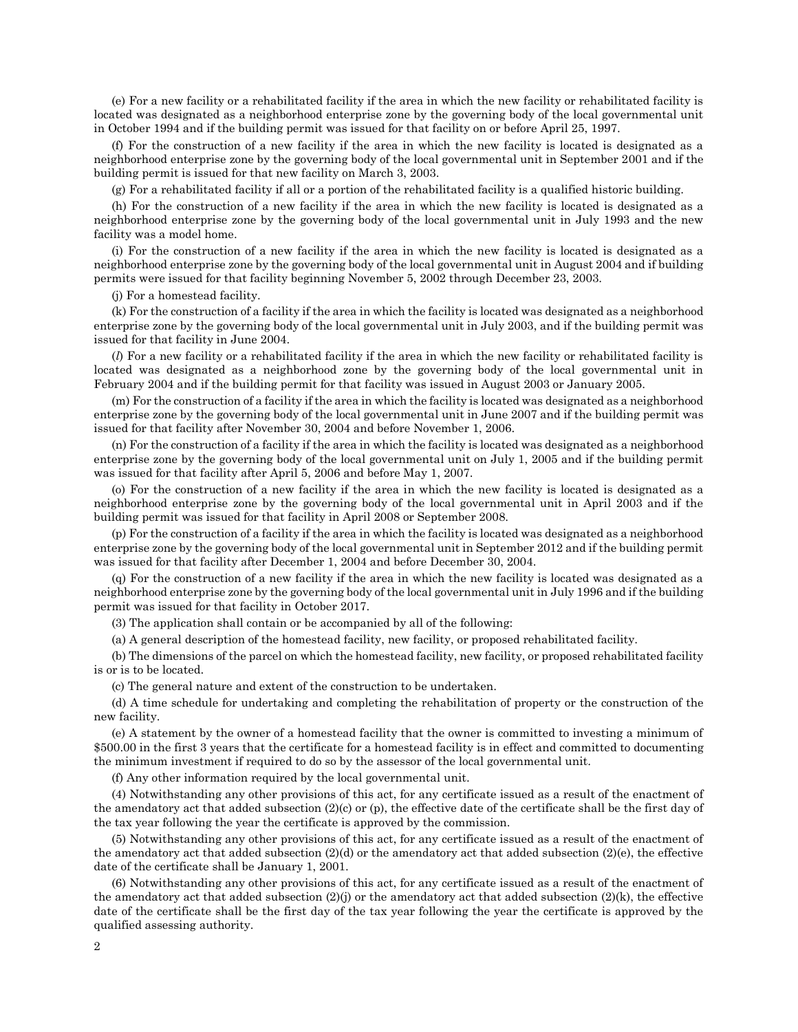(e) For a new facility or a rehabilitated facility if the area in which the new facility or rehabilitated facility is located was designated as a neighborhood enterprise zone by the governing body of the local governmental unit in October 1994 and if the building permit was issued for that facility on or before April 25, 1997.

(f) For the construction of a new facility if the area in which the new facility is located is designated as a neighborhood enterprise zone by the governing body of the local governmental unit in September 2001 and if the building permit is issued for that new facility on March 3, 2003.

(g) For a rehabilitated facility if all or a portion of the rehabilitated facility is a qualified historic building.

(h) For the construction of a new facility if the area in which the new facility is located is designated as a neighborhood enterprise zone by the governing body of the local governmental unit in July 1993 and the new facility was a model home.

(i) For the construction of a new facility if the area in which the new facility is located is designated as a neighborhood enterprise zone by the governing body of the local governmental unit in August 2004 and if building permits were issued for that facility beginning November 5, 2002 through December 23, 2003.

(j) For a homestead facility.

(k) For the construction of a facility if the area in which the facility is located was designated as a neighborhood enterprise zone by the governing body of the local governmental unit in July 2003, and if the building permit was issued for that facility in June 2004.

(*l*) For a new facility or a rehabilitated facility if the area in which the new facility or rehabilitated facility is located was designated as a neighborhood zone by the governing body of the local governmental unit in February 2004 and if the building permit for that facility was issued in August 2003 or January 2005.

(m) For the construction of a facility if the area in which the facility is located was designated as a neighborhood enterprise zone by the governing body of the local governmental unit in June 2007 and if the building permit was issued for that facility after November 30, 2004 and before November 1, 2006.

(n) For the construction of a facility if the area in which the facility is located was designated as a neighborhood enterprise zone by the governing body of the local governmental unit on July 1, 2005 and if the building permit was issued for that facility after April 5, 2006 and before May 1, 2007.

(o) For the construction of a new facility if the area in which the new facility is located is designated as a neighborhood enterprise zone by the governing body of the local governmental unit in April 2003 and if the building permit was issued for that facility in April 2008 or September 2008.

(p) For the construction of a facility if the area in which the facility is located was designated as a neighborhood enterprise zone by the governing body of the local governmental unit in September 2012 and if the building permit was issued for that facility after December 1, 2004 and before December 30, 2004.

(q) For the construction of a new facility if the area in which the new facility is located was designated as a neighborhood enterprise zone by the governing body of the local governmental unit in July 1996 and if the building permit was issued for that facility in October 2017.

(3) The application shall contain or be accompanied by all of the following:

(a) A general description of the homestead facility, new facility, or proposed rehabilitated facility.

(b) The dimensions of the parcel on which the homestead facility, new facility, or proposed rehabilitated facility is or is to be located.

(c) The general nature and extent of the construction to be undertaken.

(d) A time schedule for undertaking and completing the rehabilitation of property or the construction of the new facility.

(e) A statement by the owner of a homestead facility that the owner is committed to investing a minimum of \$500.00 in the first 3 years that the certificate for a homestead facility is in effect and committed to documenting the minimum investment if required to do so by the assessor of the local governmental unit.

(f) Any other information required by the local governmental unit.

(4) Notwithstanding any other provisions of this act, for any certificate issued as a result of the enactment of the amendatory act that added subsection (2)(c) or (p), the effective date of the certificate shall be the first day of the tax year following the year the certificate is approved by the commission.

(5) Notwithstanding any other provisions of this act, for any certificate issued as a result of the enactment of the amendatory act that added subsection  $(2)(d)$  or the amendatory act that added subsection  $(2)(e)$ , the effective date of the certificate shall be January 1, 2001.

(6) Notwithstanding any other provisions of this act, for any certificate issued as a result of the enactment of the amendatory act that added subsection  $(2)(j)$  or the amendatory act that added subsection  $(2)(k)$ , the effective date of the certificate shall be the first day of the tax year following the year the certificate is approved by the qualified assessing authority.